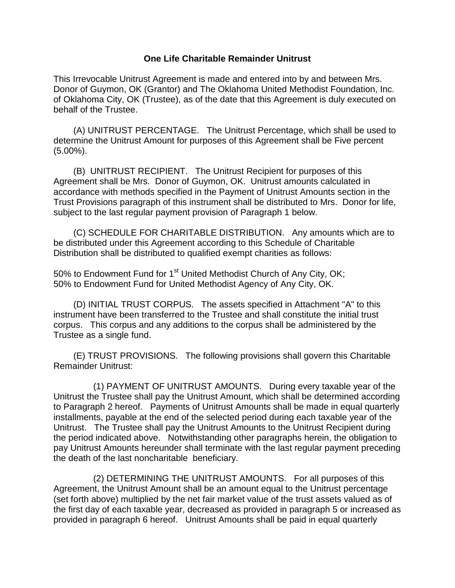## **One Life Charitable Remainder Unitrust**

This Irrevocable Unitrust Agreement is made and entered into by and between Mrs. Donor of Guymon, OK (Grantor) and The Oklahoma United Methodist Foundation, Inc. of Oklahoma City, OK (Trustee), as of the date that this Agreement is duly executed on behalf of the Trustee.

 (A) UNITRUST PERCENTAGE. The Unitrust Percentage, which shall be used to determine the Unitrust Amount for purposes of this Agreement shall be Five percent (5.00%).

 (B) UNITRUST RECIPIENT. The Unitrust Recipient for purposes of this Agreement shall be Mrs. Donor of Guymon, OK. Unitrust amounts calculated in accordance with methods specified in the Payment of Unitrust Amounts section in the Trust Provisions paragraph of this instrument shall be distributed to Mrs. Donor for life, subject to the last regular payment provision of Paragraph 1 below.

 (C) SCHEDULE FOR CHARITABLE DISTRIBUTION. Any amounts which are to be distributed under this Agreement according to this Schedule of Charitable Distribution shall be distributed to qualified exempt charities as follows:

50% to Endowment Fund for 1<sup>st</sup> United Methodist Church of Any City, OK; 50% to Endowment Fund for United Methodist Agency of Any City, OK.

 (D) INITIAL TRUST CORPUS. The assets specified in Attachment "A" to this instrument have been transferred to the Trustee and shall constitute the initial trust corpus. This corpus and any additions to the corpus shall be administered by the Trustee as a single fund.

 (E) TRUST PROVISIONS. The following provisions shall govern this Charitable Remainder Unitrust:

 (1) PAYMENT OF UNITRUST AMOUNTS. During every taxable year of the Unitrust the Trustee shall pay the Unitrust Amount, which shall be determined according to Paragraph 2 hereof. Payments of Unitrust Amounts shall be made in equal quarterly installments, payable at the end of the selected period during each taxable year of the Unitrust. The Trustee shall pay the Unitrust Amounts to the Unitrust Recipient during the period indicated above. Notwithstanding other paragraphs herein, the obligation to pay Unitrust Amounts hereunder shall terminate with the last regular payment preceding the death of the last noncharitable beneficiary.

 (2) DETERMINING THE UNITRUST AMOUNTS. For all purposes of this Agreement, the Unitrust Amount shall be an amount equal to the Unitrust percentage (set forth above) multiplied by the net fair market value of the trust assets valued as of the first day of each taxable year, decreased as provided in paragraph 5 or increased as provided in paragraph 6 hereof. Unitrust Amounts shall be paid in equal quarterly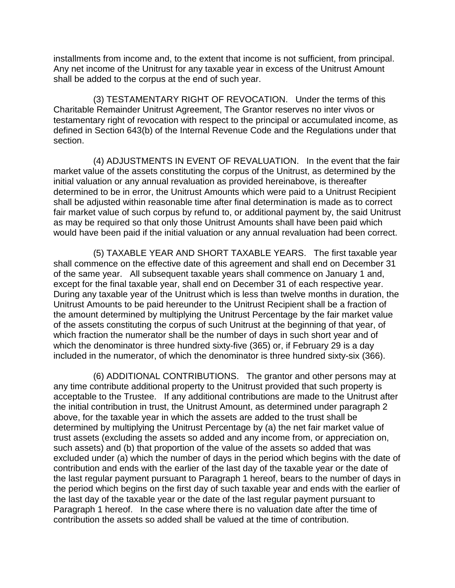installments from income and, to the extent that income is not sufficient, from principal. Any net income of the Unitrust for any taxable year in excess of the Unitrust Amount shall be added to the corpus at the end of such year.

 (3) TESTAMENTARY RIGHT OF REVOCATION. Under the terms of this Charitable Remainder Unitrust Agreement, The Grantor reserves no inter vivos or testamentary right of revocation with respect to the principal or accumulated income, as defined in Section 643(b) of the Internal Revenue Code and the Regulations under that section.

 (4) ADJUSTMENTS IN EVENT OF REVALUATION. In the event that the fair market value of the assets constituting the corpus of the Unitrust, as determined by the initial valuation or any annual revaluation as provided hereinabove, is thereafter determined to be in error, the Unitrust Amounts which were paid to a Unitrust Recipient shall be adjusted within reasonable time after final determination is made as to correct fair market value of such corpus by refund to, or additional payment by, the said Unitrust as may be required so that only those Unitrust Amounts shall have been paid which would have been paid if the initial valuation or any annual revaluation had been correct.

 (5) TAXABLE YEAR AND SHORT TAXABLE YEARS. The first taxable year shall commence on the effective date of this agreement and shall end on December 31 of the same year. All subsequent taxable years shall commence on January 1 and, except for the final taxable year, shall end on December 31 of each respective year. During any taxable year of the Unitrust which is less than twelve months in duration, the Unitrust Amounts to be paid hereunder to the Unitrust Recipient shall be a fraction of the amount determined by multiplying the Unitrust Percentage by the fair market value of the assets constituting the corpus of such Unitrust at the beginning of that year, of which fraction the numerator shall be the number of days in such short year and of which the denominator is three hundred sixty-five (365) or, if February 29 is a day included in the numerator, of which the denominator is three hundred sixty-six (366).

 (6) ADDITIONAL CONTRIBUTIONS. The grantor and other persons may at any time contribute additional property to the Unitrust provided that such property is acceptable to the Trustee. If any additional contributions are made to the Unitrust after the initial contribution in trust, the Unitrust Amount, as determined under paragraph 2 above, for the taxable year in which the assets are added to the trust shall be determined by multiplying the Unitrust Percentage by (a) the net fair market value of trust assets (excluding the assets so added and any income from, or appreciation on, such assets) and (b) that proportion of the value of the assets so added that was excluded under (a) which the number of days in the period which begins with the date of contribution and ends with the earlier of the last day of the taxable year or the date of the last regular payment pursuant to Paragraph 1 hereof, bears to the number of days in the period which begins on the first day of such taxable year and ends with the earlier of the last day of the taxable year or the date of the last regular payment pursuant to Paragraph 1 hereof. In the case where there is no valuation date after the time of contribution the assets so added shall be valued at the time of contribution.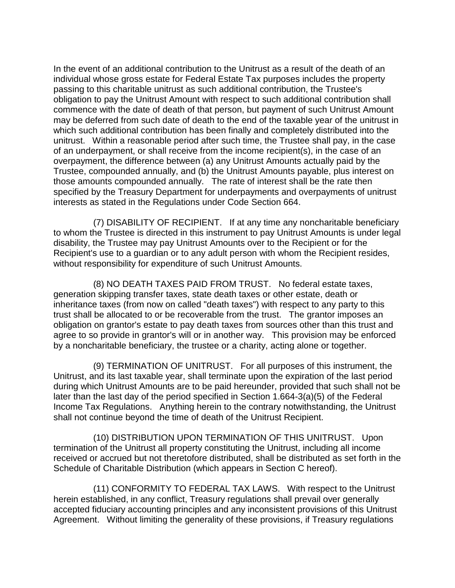In the event of an additional contribution to the Unitrust as a result of the death of an individual whose gross estate for Federal Estate Tax purposes includes the property passing to this charitable unitrust as such additional contribution, the Trustee's obligation to pay the Unitrust Amount with respect to such additional contribution shall commence with the date of death of that person, but payment of such Unitrust Amount may be deferred from such date of death to the end of the taxable year of the unitrust in which such additional contribution has been finally and completely distributed into the unitrust. Within a reasonable period after such time, the Trustee shall pay, in the case of an underpayment, or shall receive from the income recipient(s), in the case of an overpayment, the difference between (a) any Unitrust Amounts actually paid by the Trustee, compounded annually, and (b) the Unitrust Amounts payable, plus interest on those amounts compounded annually. The rate of interest shall be the rate then specified by the Treasury Department for underpayments and overpayments of unitrust interests as stated in the Regulations under Code Section 664.

 (7) DISABILITY OF RECIPIENT. If at any time any noncharitable beneficiary to whom the Trustee is directed in this instrument to pay Unitrust Amounts is under legal disability, the Trustee may pay Unitrust Amounts over to the Recipient or for the Recipient's use to a guardian or to any adult person with whom the Recipient resides, without responsibility for expenditure of such Unitrust Amounts.

 (8) NO DEATH TAXES PAID FROM TRUST. No federal estate taxes, generation skipping transfer taxes, state death taxes or other estate, death or inheritance taxes (from now on called "death taxes") with respect to any party to this trust shall be allocated to or be recoverable from the trust. The grantor imposes an obligation on grantor's estate to pay death taxes from sources other than this trust and agree to so provide in grantor's will or in another way. This provision may be enforced by a noncharitable beneficiary, the trustee or a charity, acting alone or together.

 (9) TERMINATION OF UNITRUST. For all purposes of this instrument, the Unitrust, and its last taxable year, shall terminate upon the expiration of the last period during which Unitrust Amounts are to be paid hereunder, provided that such shall not be later than the last day of the period specified in Section 1.664-3(a)(5) of the Federal Income Tax Regulations. Anything herein to the contrary notwithstanding, the Unitrust shall not continue beyond the time of death of the Unitrust Recipient.

 (10) DISTRIBUTION UPON TERMINATION OF THIS UNITRUST. Upon termination of the Unitrust all property constituting the Unitrust, including all income received or accrued but not theretofore distributed, shall be distributed as set forth in the Schedule of Charitable Distribution (which appears in Section C hereof).

 (11) CONFORMITY TO FEDERAL TAX LAWS. With respect to the Unitrust herein established, in any conflict, Treasury regulations shall prevail over generally accepted fiduciary accounting principles and any inconsistent provisions of this Unitrust Agreement. Without limiting the generality of these provisions, if Treasury regulations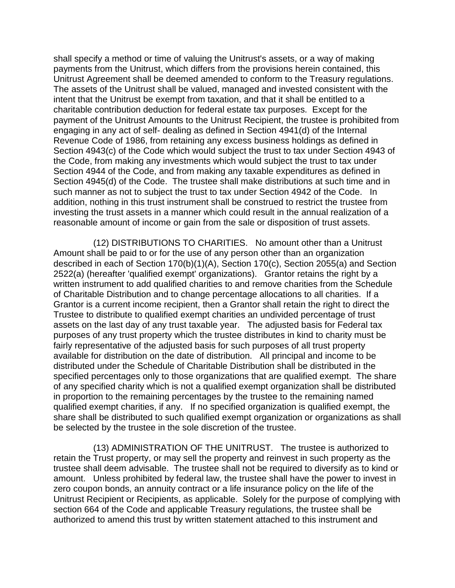shall specify a method or time of valuing the Unitrust's assets, or a way of making payments from the Unitrust, which differs from the provisions herein contained, this Unitrust Agreement shall be deemed amended to conform to the Treasury regulations. The assets of the Unitrust shall be valued, managed and invested consistent with the intent that the Unitrust be exempt from taxation, and that it shall be entitled to a charitable contribution deduction for federal estate tax purposes. Except for the payment of the Unitrust Amounts to the Unitrust Recipient, the trustee is prohibited from engaging in any act of self- dealing as defined in Section 4941(d) of the Internal Revenue Code of 1986, from retaining any excess business holdings as defined in Section 4943(c) of the Code which would subject the trust to tax under Section 4943 of the Code, from making any investments which would subject the trust to tax under Section 4944 of the Code, and from making any taxable expenditures as defined in Section 4945(d) of the Code. The trustee shall make distributions at such time and in such manner as not to subject the trust to tax under Section 4942 of the Code. In addition, nothing in this trust instrument shall be construed to restrict the trustee from investing the trust assets in a manner which could result in the annual realization of a reasonable amount of income or gain from the sale or disposition of trust assets.

 (12) DISTRIBUTIONS TO CHARITIES. No amount other than a Unitrust Amount shall be paid to or for the use of any person other than an organization described in each of Section 170(b)(1)(A), Section 170(c), Section 2055(a) and Section 2522(a) (hereafter 'qualified exempt' organizations). Grantor retains the right by a written instrument to add qualified charities to and remove charities from the Schedule of Charitable Distribution and to change percentage allocations to all charities. If a Grantor is a current income recipient, then a Grantor shall retain the right to direct the Trustee to distribute to qualified exempt charities an undivided percentage of trust assets on the last day of any trust taxable year. The adjusted basis for Federal tax purposes of any trust property which the trustee distributes in kind to charity must be fairly representative of the adjusted basis for such purposes of all trust property available for distribution on the date of distribution. All principal and income to be distributed under the Schedule of Charitable Distribution shall be distributed in the specified percentages only to those organizations that are qualified exempt. The share of any specified charity which is not a qualified exempt organization shall be distributed in proportion to the remaining percentages by the trustee to the remaining named qualified exempt charities, if any. If no specified organization is qualified exempt, the share shall be distributed to such qualified exempt organization or organizations as shall be selected by the trustee in the sole discretion of the trustee.

 (13) ADMINISTRATION OF THE UNITRUST. The trustee is authorized to retain the Trust property, or may sell the property and reinvest in such property as the trustee shall deem advisable. The trustee shall not be required to diversify as to kind or amount. Unless prohibited by federal law, the trustee shall have the power to invest in zero coupon bonds, an annuity contract or a life insurance policy on the life of the Unitrust Recipient or Recipients, as applicable. Solely for the purpose of complying with section 664 of the Code and applicable Treasury regulations, the trustee shall be authorized to amend this trust by written statement attached to this instrument and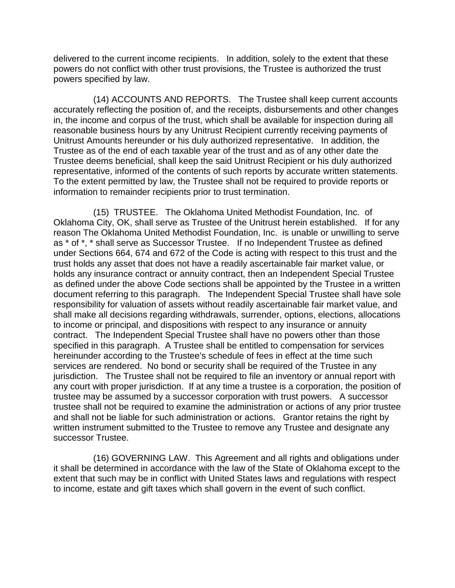delivered to the current income recipients. In addition, solely to the extent that these powers do not conflict with other trust provisions, the Trustee is authorized the trust powers specified by law.

 (14) ACCOUNTS AND REPORTS. The Trustee shall keep current accounts accurately reflecting the position of, and the receipts, disbursements and other changes in, the income and corpus of the trust, which shall be available for inspection during all reasonable business hours by any Unitrust Recipient currently receiving payments of Unitrust Amounts hereunder or his duly authorized representative. In addition, the Trustee as of the end of each taxable year of the trust and as of any other date the Trustee deems beneficial, shall keep the said Unitrust Recipient or his duly authorized representative, informed of the contents of such reports by accurate written statements. To the extent permitted by law, the Trustee shall not be required to provide reports or information to remainder recipients prior to trust termination.

 (15) TRUSTEE. The Oklahoma United Methodist Foundation, Inc. of Oklahoma City, OK, shall serve as Trustee of the Unitrust herein established. If for any reason The Oklahoma United Methodist Foundation, Inc. is unable or unwilling to serve as \* of \*, \* shall serve as Successor Trustee. If no Independent Trustee as defined under Sections 664, 674 and 672 of the Code is acting with respect to this trust and the trust holds any asset that does not have a readily ascertainable fair market value, or holds any insurance contract or annuity contract, then an Independent Special Trustee as defined under the above Code sections shall be appointed by the Trustee in a written document referring to this paragraph. The Independent Special Trustee shall have sole responsibility for valuation of assets without readily ascertainable fair market value, and shall make all decisions regarding withdrawals, surrender, options, elections, allocations to income or principal, and dispositions with respect to any insurance or annuity contract. The Independent Special Trustee shall have no powers other than those specified in this paragraph. A Trustee shall be entitled to compensation for services hereinunder according to the Trustee's schedule of fees in effect at the time such services are rendered. No bond or security shall be required of the Trustee in any jurisdiction. The Trustee shall not be required to file an inventory or annual report with any court with proper jurisdiction. If at any time a trustee is a corporation, the position of trustee may be assumed by a successor corporation with trust powers. A successor trustee shall not be required to examine the administration or actions of any prior trustee and shall not be liable for such administration or actions. Grantor retains the right by written instrument submitted to the Trustee to remove any Trustee and designate any successor Trustee.

 (16) GOVERNING LAW. This Agreement and all rights and obligations under it shall be determined in accordance with the law of the State of Oklahoma except to the extent that such may be in conflict with United States laws and regulations with respect to income, estate and gift taxes which shall govern in the event of such conflict.